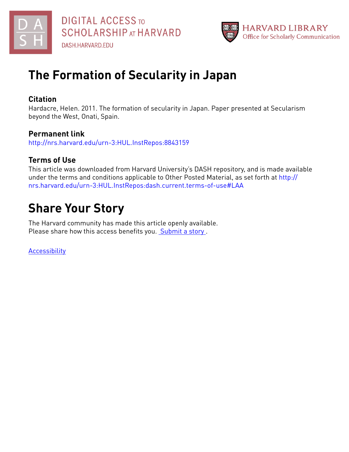



# **The Formation of Secularity in Japan**

# **Citation**

Hardacre, Helen. 2011. The formation of secularity in Japan. Paper presented at Secularism beyond the West, Onati, Spain.

# **Permanent link**

<http://nrs.harvard.edu/urn-3:HUL.InstRepos:8843159>

# **Terms of Use**

This article was downloaded from Harvard University's DASH repository, and is made available under the terms and conditions applicable to Other Posted Material, as set forth at [http://](http://nrs.harvard.edu/urn-3:HUL.InstRepos:dash.current.terms-of-use#LAA) [nrs.harvard.edu/urn-3:HUL.InstRepos:dash.current.terms-of-use#LAA](http://nrs.harvard.edu/urn-3:HUL.InstRepos:dash.current.terms-of-use#LAA)

# **Share Your Story**

The Harvard community has made this article openly available. Please share how this access benefits you. [Submit](http://osc.hul.harvard.edu/dash/open-access-feedback?handle=&title=The%20Formation%20of%20Secularity%20in%20Japan&community=1/1&collection=1/2&owningCollection1/2&harvardAuthors=f04a27499988e5e56809f8f43e495a12&departmentEast%20Asian%20Languages%20and%20Civilizations) a story.

**[Accessibility](https://dash.harvard.edu/pages/accessibility)**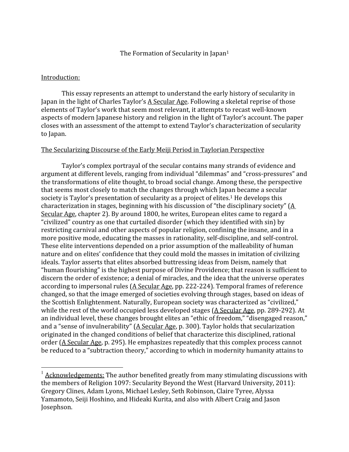# The Formation of Secularity in Japan<sup>1</sup>

## Introduction:

This
essay
represents
an attempt
to
understand
the
early
history
of
secularity
in Japan in the light of Charles Taylor's A Secular Age. Following a skeletal reprise of those elements
of
Taylor's
work
that
seem
most
relevant,
it
attempts
to
recast
well‐known aspects
of
modern
Japanese
history
and
religion
in
the
light
of
Taylor's
account.
The
paper closes
with
an
assessment
of
the
attempt
to
extend
Taylor's
characterization
of
secularity to
Japan.

## The
Secularizing
Discourse
of
the
Early
Meiji
Period
in
Taylorian
Perspective

Taylor's complex portrayal of the secular contains many strands of evidence and argument
at
different
levels,
ranging
from
individual
"dilemmas"
and
"cross‐pressures"
and the
transformations
of
elite
thought,
to
broad
social
change.
Among
these,
the
perspective that
seems
most
closely
to
match
the
changes
through
which
Japan
became
a
secular society is Taylor's presentation of secularity as a project of elites.<sup>1</sup> He develops this characterization
in
stages,
beginning
with
his
discussion
of
"the
disciplinary
society"
(A Secular Age, chapter 2). By around 1800, he writes, European elites came to regard a "civilized" country as one that curtailed disorder (which they identified with sin) by restricting
carnival
and
other
aspects
of
popular
religion,
confining
the
insane,
and
in
a more positive mode, educating the masses in rationality, self-discipline, and self-control. These
elite
interventions
depended
on
a
prior
assumption
of
the
malleability
of
human nature
and
on
elites'
confidence
that
they
could
mold
the
masses
in
imitation
of
civilizing ideals. Taylor asserts that elites absorbed buttressing ideas from Deism, namely that "human flourishing" is the highest purpose of Divine Providence; that reason is sufficient to discern the order of existence; a denial of miracles, and the idea that the universe operates according
to
impersonal
rules
(A
Secular
Age,
pp.
222‐224). Temporal
frames
of
reference changed,
so
that
the
image
emerged
of
societies
evolving
through
stages,
based
on
ideas
of the
Scottish
Enlightenment.
Naturally,
European
society
was
characterized
as
"civilized," while the rest of the world occupied less developed stages (A Secular Age, pp. 289-292). At an individual level, these changes brought elites an "ethic of freedom," "disengaged reason," and a
"sense
of
invulnerability"
(A
Secular
Age,
p.
300).
Taylor
holds
that
secularization originated
in
the
changed
conditions
of
belief
that
characterize
this
disciplined,
rational order
(A
Secular
Age,
p.
295).
He
emphasizes
repeatedly
that
this
complex
process
cannot be reduced to a "subtraction theory," according to which in modernity humanity attains to

 $1$  Acknowledgements: The author benefited greatly from many stimulating discussions with the
members
of
Religion
1097:
Secularity
Beyond
the
West
(Harvard
University,
2011): Gregory
Clines,
Adam
Lyons,
Michael
Lesley,
Seth
Robinson,
Claire
Tyree,
Alyssa Yamamoto, Seiji Hoshino, and Hideaki Kurita, and also with Albert Craig and Jason Josephson.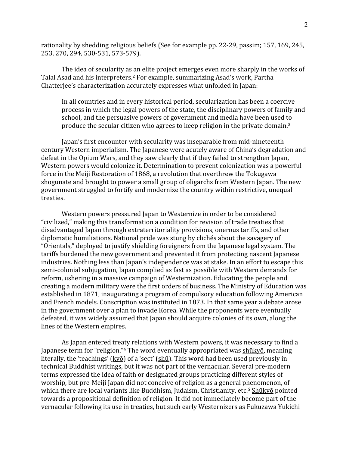rationality by shedding religious beliefs (See for example pp. 22-29, passim; 157, 169, 245, 253,
270,
294,
530‐531,
573‐579).

The idea of secularity as an elite project emerges even more sharply in the works of Talal
Asad
and
his interpreters. 2
For
example,
summarizing
Asad's
work,
Partha Chatterjee's
characterization
accurately
expresses
what
unfolded
in
Japan:

In
all
countries
and
in
every
historical
period,
secularization
has
been
a
coercive process
in
which
the
legal
powers
of
the
state,
the
disciplinary
powers
of
family
and school,
and
the
persuasive
powers
of
government
and
media
have
been
used
to produce the secular citizen who agrees to keep religion in the private domain.<sup>3</sup>

Japan's first
encounter
with
secularity was
inseparable
from
mid‐nineteenth century Western
imperialism.
The
Japanese
were
acutely
aware
of
China's
degradation
and defeat in the Opium Wars, and they saw clearly that if they failed to strengthen Japan, Western powers would colonize it. Determination to prevent colonization was a powerful force in the Meiji Restoration of 1868, a revolution that overthrew the Tokugawa shogunate and brought to power a small group of oligarchs from Western Japan. The new government
struggled
to
fortify
and
modernize
the
country
within
restrictive,
unequal treaties.

Western powers pressured Japan to Westernize in order to be considered "civilized," making this transformation a condition for revision of trade treaties that disadvantaged
Japan
through
extraterritoriality
provisions,
onerous
tariffs,
and
other diplomatic
humiliations.
National
pride
was
stung
by
clichés
about
the
savagery
of "Orientals,"
deployed
to
justify
shielding
foreigners
from
the
Japanese
legal
system.
The tariffs
burdened
the
new
government
and prevented
it
from
protecting
nascent
Japanese industries. Nothing less than Japan's independence was at stake. In an effort to escape this semi‐colonial
subjugation,
Japan
complied
as
fast
as
possible
with
Western
demands
for reform,
ushering
in
a
massive
campaign
of
Westernization.
Educating
the
people
and creating
a
modern
military
were
the
first
orders
of
business.
The
Ministry
of
Education
was established
in
1871,
inaugurating
a
program
of
compulsory
education
following
American and
French
models.
Conscription
was
instituted
in
1873.
In
that
same
year
a
debate
arose in the government over a plan to invade Korea. While the proponents were eventually defeated, it was widely assumed that Japan should acquire colonies of its own, along the lines
of
the
Western
empires.

As
Japan
entered
treaty
relations
with
Western
powers,
it
was
necessary
to
find
a Japanese
term
for "religion."4
The
word
eventually
appropriated
was
shūkyō,
meaning literally, the 'teachings' (kyō) of a 'sect' (shū). This word had been used previously in technical
Buddhist
writings,
but
it
was
not
part
of
the
vernacular.
Several
pre‐modern terms
expressed
the
idea
of
faith
or
designated
groups
practicing
different
styles
of worship, but pre-Meiji Japan did not conceive of religion as a general phenomenon, of which there are local variants like Buddhism, Judaism, Christianity, etc.<sup>5</sup> Shūkyō pointed towards
a
propositional
definition
of
religion.
It
did
not
immediately
become
part
of
the vernacular
following
its
use
in
treaties,
but
such
early
Westernizers
as
Fukuzawa
Yukichi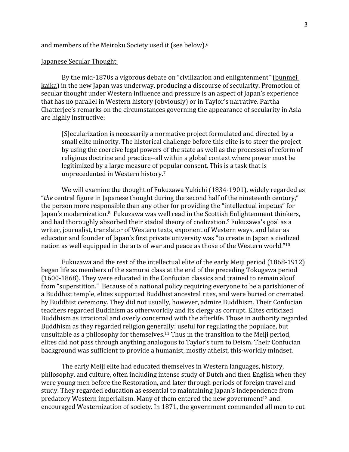### and
members
of
the
Meiroku
Society
used
it
(see below). 6

#### Japanese
Secular
Thought

By the mid-1870s a vigorous debate on "civilization and enlightenment" (bunmei kaika)
in
the
new
Japan
was
underway,
producing
a
discourse
of
secularity.
Promotion
of secular
thought
under
Western
influence
and
pressure
is
an
aspect
of
Japan's
experience that
has
no
parallel
in
Western
history
(obviously)
or
in
Taylor's
narrative.
Partha Chatterjee's
remarks
on
the
circumstances
governing
the
appearance
of
secularity
in
Asia are
highly
instructive:

[S]ecularization
is
necessarily
a
normative
project
formulated
and
directed
by
a small elite minority. The historical challenge before this elite is to steer the project by using the coercive legal powers of the state as well as the processes of reform of religious doctrine and practice--all within a global context where power must be legitimized by a large measure of popular consent. This is a task that is unprecedented
in
Western history. 7

We will examine the thought of Fukuzawa Yukichi (1834-1901), widely regarded as "the central figure in Japanese thought during the second half of the nineteenth century," the
person
more
responsible
than
any
other
for
providing
the
"intellectual
impetus"
for Japan's modernization.<sup>8</sup> Fukuzawa was well read in the Scottish Enlightenment thinkers, and had thoroughly absorbed their stadial theory of civilization.<sup>9</sup> Fukuzawa's goal as a writer, journalist, translator of Western texts, exponent of Western ways, and later as educator
and
founder
of
Japan's
first
private
university
was
"to
create
in
Japan
a
civilized nation as well equipped in the arts of war and peace as those of the Western world."<sup>10</sup>

Fukuzawa and the rest of the intellectual elite of the early Meiji period (1868-1912) began
life
as
members
of
the
samurai
class
at
the
end
of
the
preceding
Tokugawa
period (1600‐1868). They
were
educated
in
the
Confucian
classics
and
trained
to
remain
aloof from "superstition." Because of a national policy requiring everyone to be a parishioner of a
Buddhist
temple,
elites
supported
Buddhist
ancestral
rites,
and
were
buried
or
cremated by
Buddhist
ceremony.
They did
not usually,
however,
admire
Buddhism.
Their
Confucian teachers
regarded
Buddhism
as
otherworldly
and
its
clergy
as
corrupt.
Elites
criticized Buddhism
as
irrational
and
overly
concerned
with
the
afterlife.
Those
in
authority
regarded Buddhism as they regarded religion generally: useful for regulating the populace, but unsuitable as a philosophy for themselves.<sup>11</sup> Thus in the transition to the Meiji period, elites
did
not
pass
through
anything
analogous
to
Taylor's
turn
to
Deism.
Their
Confucian background
was
sufficient
to
provide
a
humanist,
mostly atheist,
this‐worldly
mindset.

The
early
Meiji
elite
had
educated
themselves
in
Western
languages,
history, philosophy,
and
culture,
often including
intense
study
of
Dutch
and
then
English when
they were young men before the Restoration, and later through periods of foreign travel and study.
They
regarded
education
as
essential
to
maintaining
Japan's
independence
from predatory Western imperialism. Many of them entered the new government<sup>12</sup> and encouraged Westernization of society. In 1871, the government commanded all men to cut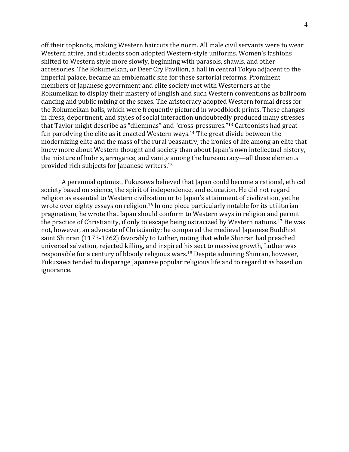off
their
topknots,
making
Western
haircuts
the
norm.
All
male
civil
servants
were
to
wear Western attire, and students soon adopted Western-style uniforms. Women's fashions shifted
to
Western
style
more
slowly,
beginning
with
parasols,
shawls,
and
other accessories.
The
Rokumeikan,
or
Deer
Cry
Pavilion,
a
hall
in
central
Tokyo
adjacent
to
the imperial
palace,
became
an
emblematic
site
for
these
sartorial
reforms.
Prominent members
of
Japanese
government
and
elite
society
met
with
Westerners
at
the Rokumeikan
to
display
their
mastery
of
English
and
such
Western
conventions
as
ballroom dancing
and
public
mixing
of
the
sexes.
The
aristocracy
adopted
Western
formal
dress
for the
Rokumeikan
balls,
which
were
frequently
pictured
in
woodblock
prints.
These
changes in
dress,
deportment,
and
styles
of
social
interaction
undoubtedly
produced
many
stresses that Taylor might describe as "dilemmas" and "cross-pressures."<sup>13</sup> Cartoonists had great fun parodying the elite as it enacted Western ways.<sup>14</sup> The great divide between the modernizing
elite
and
the
mass
of
the
rural
peasantry,
the
ironies
of
life
among
an
elite
that knew more about Western thought and society than about Japan's own intellectual history, the
mixture
of
hubris,
arrogance,
and
vanity
among
the
bureaucracy—all
these
elements provided
rich
subjects
for
Japanese writers. 15

A perennial optimist, Fukuzawa believed that Japan could become a rational, ethical society based on science, the spirit of independence, and education. He did not regard religion
as essential
to
Western
civilization or to
Japan's
attainment
of
civilization,
yet
he wrote over eighty essays on religion.<sup>16</sup> In one piece particularly notable for its utilitarian pragmatism,
he
wrote
that
Japan
should
conform
to
Western
ways
in
religion
and
permit the practice of Christianity, if only to escape being ostracized by Western nations.<sup>17</sup> He was not,
however, an
advocate
of
Christianity;
he
compared
the
medieval
Japanese
Buddhist saint
Shinran
(1173‐1262)
favorably
to
Luther,
noting
that
while
Shinran
had
preached universal
salvation,
rejected
killing,
and
inspired
his
sect
to
massive
growth,
Luther
was responsible for a century of bloody religious wars.<sup>18</sup> Despite admiring Shinran, however, Fukuzawa tended to disparage Japanese popular religious life and to regard it as based on ignorance.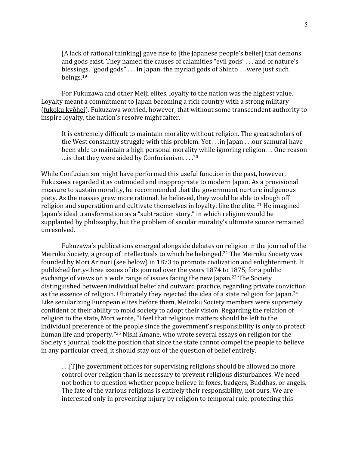[A lack of rational thinking] gave rise to [the Japanese people's belief] that demons and gods exist. They named the causes of calamities "evil gods"... and of nature's blessings, "good gods" . . . In Japan, the myriad gods of Shinto . . . were just such beings. 19

For Fukuzawa and other Meiji elites, loyalty to the nation was the highest value. Loyalty meant a commitment to Japan becoming a rich country with a strong military (fukoku
kyōhei).
Fukuzawa
worried,
however,
that
without
some
transcendent
authority
to inspire
loyalty,
the
nation's
resolve
might
falter.

It is extremely difficult to maintain morality without religion. The great scholars of the West constantly struggle with this problem. Yet . . . in Japan . . . our samurai have been able to maintain a high personal morality while ignoring religion... One reason ... is that they were aided by Confucianism...<sup>20</sup>

While Confucianism might have performed this useful function in the past, however, Fukuzawa regarded it as outmoded and inappropriate to modern Japan. As a provisional measure
to
sustain
morality,
he
recommended
that
the
government
nurture
indigenous piety.
As
the
masses
grew
more
rational,
he
believed,
they
would
be
able
to
slough
off religion and superstition and cultivate themselves in loyalty, like the elite.<sup>21</sup> He imagined Japan's
ideal
transformation
as
a
"subtraction
story,"
in
which
religion
would
be supplanted
by
philosophy,
but
the
problem
of
secular
morality's ultimate
source
remained unresolved.

Fukuzawa's
publications
emerged
alongside
debates
on
religion
in
the
journal
of
the Meiroku Society, a group of intellectuals to which he belonged.<sup>22</sup> The Meiroku Society was founded by Mori Arinori (see below) in 1873 to promote civilization and enlightenment. It published forty-three issues of its journal over the years 1874 to 1875, for a public exchange of views on a wide range of issues facing the new Japan.<sup>23</sup> The Society distinguished
between
individual
belief
and
outward
practice,
regarding
private
conviction as the essence of religion. Ultimately they rejected the idea of a state religion for Japan.<sup>24</sup> Like secularizing European elites before them, Meiroku Society members were supremely confident of their ability to mold society to adopt their vision. Regarding the relation of religion to the state, Mori wrote, "I feel that religious matters should be left to the individual preference of the people since the government's responsibility is only to protect human life and property."<sup>25</sup> Nishi Amane, who wrote several essays on religion for the Society's journal, took the position that since the state cannot compel the people to believe in
any
particular
creed,
it
should
stay
out
of
the
question
of
belief
entirely.

... [T] he government offices for supervising religions should be allowed no more control
over
religion
than
is
necessary
to
prevent
religious
disturbances.
We
need not
bother
to
question
whether
people
believe
in
foxes,
badgers,
Buddhas,
or
angels. The fate of the various religions is entirely their responsibility, not ours. We are interested
only
in
preventing
injury
by
religion
to
temporal
rule,
protecting
this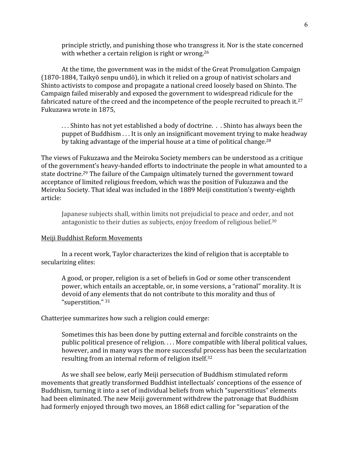principle
strictly,
and
punishing
those
who
transgress
it.
Nor
is
the
state
concerned with whether a certain religion is right or wrong.<sup>26</sup>

At
the
time,
the
government
was
in
the
midst
of
the Great
Promulgation
Campaign (1870‐1884,
Taikyō
senpu
undō),
in
which
it
relied
on
a
group
of
nativist
scholars
and Shinto
activists
to
compose
and
propagate
a
national
creed
loosely
based
on
Shinto.
The Campaign
failed
miserably
and
exposed
the
government
to
widespread
ridicule
for
the fabricated nature of the creed and the incompetence of the people recruited to preach it.<sup>27</sup> Fukuzawa
wrote
in
1875,

... Shinto has not yet established a body of doctrine. . . Shinto has always been the puppet
of
Buddhism
.
.
. It
is
only
an
insignificant
movement
trying
to
make
headway by taking advantage of the imperial house at a time of political change.<sup>28</sup>

The
views
of
Fukuzawa
and
the
Meiroku
Society
members
can
be
understood
as
a
critique of the government's heavy-handed efforts to indoctrinate the people in what amounted to a state doctrine.<sup>29</sup> The failure of the Campaign ultimately turned the government toward acceptance
of
limited
religious
freedom,
which
was
the
position
of
Fukuzawa
and
the Meiroku Society. That ideal was included in the 1889 Meiji constitution's twenty-eighth article:

Japanese
subjects
shall,
within
limits
not
prejudicial
to
peace
and
order,
and
not antagonistic to their duties as subjects, enjoy freedom of religious belief.<sup>30</sup>

#### Meiji
Buddhist
Reform
Movements

In
a
recent
work,
Taylor
characterizes
the
kind
of
religion
that
is
acceptable
to secularizing
elites:

A
good,
or
proper,
religion
is
a
set
of
beliefs
in
God
or
some
other
transcendent power,
which
entails
an
acceptable,
or,
in
some
versions,
a
"rational"
morality.
It
is devoid of any elements that do not contribute to this morality and thus of "superstition." <sup>31</sup>

Chatterjee
summarizes
how
such
a
religion
could
emerge:

Sometimes
this
has
been
done
by
putting
external
and
forcible
constraints
on
the public
political
presence
of
religion.
.
.
.
More
compatible
with
liberal
political
values, however,
and
in
many
ways
the
more
successful
process
has
been
the
secularization resulting from an internal reform of religion itself.<sup>32</sup>

As
we
shall
see
below,
early
Meiji
persecution
of
Buddhism
stimulated
reform movements
that
greatly
transformed
Buddhist
intellectuals'
conceptions
of
the
essence
of Buddhism, turning it into a set of individual beliefs from which "superstitious" elements had been eliminated. The new Meiji government withdrew the patronage that Buddhism had formerly enjoyed through two moves, an 1868 edict calling for "separation of the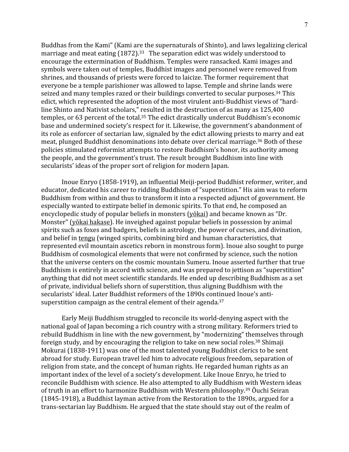Buddhas from the Kami" (Kami are the supernaturals of Shinto), and laws legalizing clerical marriage and meat eating (1872).<sup>33</sup> The separation edict was widely understood to encourage
the
extermination
of
Buddhism.
Temples
were
ransacked.
Kami
images
and symbols
were
taken
out
of
temples,
Buddhist
images
and
personnel
were
removed
from shrines,
and
thousands
of
priests
were
forced
to
laicize.
The
former
requirement
that everyone
be
a
temple
parishioner
was
allowed
to
lapse.
Temple
and
shrine
lands
were seized and many temples razed or their buildings converted to secular purposes.<sup>34</sup> This edict, which represented the adoption of the most virulent anti-Buddhist views of "hardline Shinto and Nativist scholars," resulted in the destruction of as many as 125,400 temples, or 63 percent of the total.<sup>35</sup> The edict drastically undercut Buddhism's economic base
and
undermined
society's
respect
for
it.
Likewise,
the
government's
abandonment
of its
role
as
enforcer
of
sectarian
law,
signaled
by
the
edict
allowing
priests
to
marry
and
eat meat, plunged Buddhist denominations into debate over clerical marriage.<sup>36</sup> Both of these policies
stimulated
reformist
attempts
to
restore
Buddhism's
honor,
its
authority
among the
people,
and
the
government's
trust.
The
result
brought
Buddhism
into
line
with secularists'
ideas
of
the
proper
sort
of
religion
for
modern
Japan.

Inoue Enryo (1858-1919), an influential Meiji-period Buddhist reformer, writer, and educator,
dedicated
his
career
to
ridding
Buddhism
of
"superstition."
His
aim
was
to
reform Buddhism from within and thus to transform it into a respected adjunct of government. He especially
wanted
to
extirpate
belief
in
demonic
spirits.
To
that
end,
he
composed
an encyclopedic
study
of
popular
beliefs
in
monsters
(yōkai)
and
became
known
as
"Dr. Monster" (yōkai hakase). He inveighed against popular beliefs in possession by animal spirits
such
as
foxes
and
badgers,
beliefs
in
astrology,
the
power
of
curses,
and
divination, and belief in tengu (winged spirits, combining bird and human characteristics, that represented
evil
mountain
ascetics
reborn
in
monstrous
form).
Inoue
also
sought
to
purge Buddhism of cosmological elements that were not confirmed by science, such the notion that
the
universe
centers
on
the
cosmic
mountain Sumeru.
Inoue
asserted
further
that
true Buddhism is entirely in accord with science, and was prepared to jettison as "superstition" anything
that
did
not
meet
scientific
standards.
He
ended up
describing
Buddhism
as
a
set of
private,
individual
beliefs
shorn
of
superstition,
thus
aligning
Buddhism
with
the secularists' ideal. Later Buddhist reformers of the 1890s continued Inoue's antisuperstition campaign as the central element of their agenda.<sup>37</sup>

Early
Meiji
Buddhism
struggled
to
reconcile
its
world‐denying
aspect
with
the national
goal
of
Japan
becoming
a
rich
country
with
a
strong
military.
Reformers
tried
to rebuild Buddhism in line with the new government, by "modernizing" themselves through foreign study, and by encouraging the religion to take on new social roles.<sup>38</sup> Shimaji Mokurai (1838-1911) was one of the most talented young Buddhist clerics to be sent abroad
for
study.
European
travel
led
him
to
advocate
religious
freedom,
separation
of religion from state, and the concept of human rights. He regarded human rights as an important index of the level of a society's development. Like Inoue Enryo, he tried to reconcile Buddhism with science. He also attempted to ally Buddhism with Western ideas of truth in an effort to harmonize Buddhism with Western philosophy.<sup>39</sup> Ouchi Seiran (1845‐1918),
a
Buddhist
layman
active
from
the
Restoration
to
the
1890s,
argued
for
a trans‐sectarian
lay
Buddhism.
He
argued
that
the
state
should
stay
out
of
the
realm
of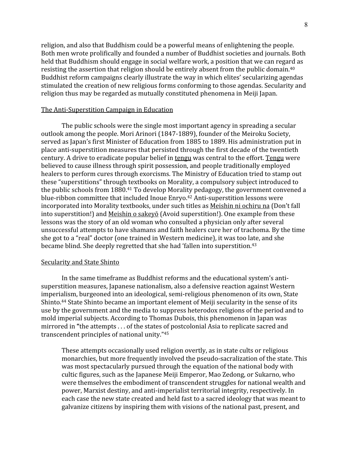religion,
and
also
that
Buddhism
could
be
a
powerful
means
of
enlightening
the
people. Both men wrote prolifically and founded a number of Buddhist societies and journals. Both held that Buddhism should engage in social welfare work, a position that we can regard as resisting the assertion that religion should be entirely absent from the public domain.<sup>40</sup> Buddhist reform campaigns clearly illustrate the way in which elites' secularizing agendas stimulated
the
creation
of
new
religious
forms
conforming
to
those
agendas.
Secularity
and religion
thus may
be
regarded
as
mutually
constituted
phenomena in
Meiji
Japan.

### The
Anti‐Superstition
Campaign
in
Education

The public schools were the single most important agency in spreading a secular outlook
among
the
people. Mori
Arinori
(1847‐1889),
founder
of
the
Meiroku
Society, served as Japan's first Minister of Education from 1885 to 1889. His administration put in place anti‐superstition
measures
that
persisted
through
the
first
decade
of
the
twentieth century.
A
drive
to
eradicate
popular
belief
in
tengu
was
central
to
the
effort.
Tengu
were believed
to
cause
illness
through
spirit
possession,
and
people
traditionally
employed healers to perform cures through exorcisms. The Ministry of Education tried to stamp out these
"superstitions"
through
textbooks
on
Morality,
a
compulsory
subject
introduced
to the public schools from 1880.<sup>41</sup> To develop Morality pedagogy, the government convened a blue-ribbon committee that included Inoue Enryo.<sup>42</sup> Anti-superstition lessons were incorporated
into
Morality
textbooks,
under
such
titles
as
Meishin
ni
ochiru
na
(Don't
fall into
superstition!)
and
Meishin
o
sakeyō
(Avoid
superstition!).
One
example
from
these lessons
was
the
story
of
an
old
woman
who
consulted
a
physician
only
after
several unsuccessful
attempts
to
have
shamans
and
faith
healers
cure
her
of
trachoma.
By
the
time she got to a "real" doctor (one trained in Western medicine), it was too late, and she became blind. She deeply regretted that she had 'fallen into superstition.<sup>43</sup>

#### Secularity
and
State
Shinto

In the same timeframe as Buddhist reforms and the educational system's antisuperstition
measures,
Japanese
nationalism,
also
a
defensive
reaction
against
Western imperialism, burgeoned into an ideological, semi-religious phenomenon of its own, State Shinto.<sup>44</sup> State Shinto became an important element of Meiji secularity in the sense of its use
by
the
government
and
the
media
to
suppress
heterodox
religions
of the
period
and
to mold
imperial
subjects.
According
to
Thomas
Dubois,
this
phenomenon
in
Japan
was mirrored in "the attempts . . . of the states of postcolonial Asia to replicate sacred and transcendent
principles
of
national unity."45

These
attempts
occasionally
used
religion
overtly,
as
in
state
cults or
religious monarchies,
but
more
frequently
involved
the
pseudo‐sacralization
of the
state.
This was
most
spectacularly
pursued
through
the
equation
of
the
national body
with cultic
figures,
such
as
the
Japanese
Meiji
Emperor,
Mao
Zedong,
or Sukarno,
who were themselves the embodiment of transcendent struggles for national wealth and power,
Marxist
destiny,
and
anti‐imperialist
territorial
integrity, respectively.
In each case the new state created and held fast to a sacred ideology that was meant to galvanize
citizens
by
inspiring
them
with
visions
of
the national
past,
present,
and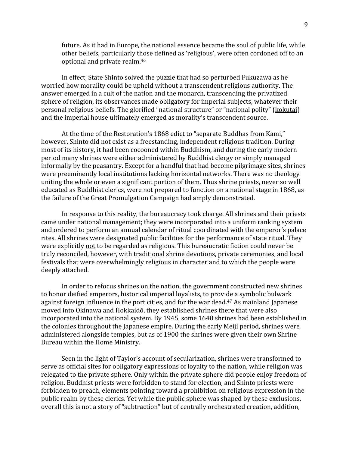future. As it had in Europe, the national essence became the soul of public life, while other
beliefs,
particularly
those
defined
as 'religious',
were
often
cordoned
off
to
an optional
and
private realm. 46

In
effect,
State
Shinto
solved
the
puzzle
that
had
so
perturbed
Fukuzawa
as
he worried how morality could be upheld without a transcendent religious authority. The answer
emerged
in
a
cult
of
the
nation
and
the
monarch,
transcending
the
privatized sphere
of
religion,
its
observances
made
obligatory
for
imperial
subjects,
whatever
their personal
religious
beliefs. The
glorified
"national
structure"
or
"national
polity"
(kokutai) and the
imperial
house
ultimately
emerged
as
morality's
transcendent
source.

At the time of the Restoration's 1868 edict to "separate Buddhas from Kami," however, Shinto did not exist as a freestanding, independent religious tradition. During most
of
its
history,
it
had
been
cocooned
within
Buddhism,
and
during
the
early
modern period
many
shrines
were
either
administered
by
Buddhist
clergy
or
simply
managed informally
by
the
peasantry.
Except
for
a
handful
that
had
become
pilgrimage
sites,
shrines were preeminently local institutions lacking horizontal networks. There was no theology uniting the whole or even a significant portion of them. Thus shrine priests, never so well educated
as
Buddhist
clerics,
were
not
prepared
to
function
on
a
national
stage
in
1868,
as the
failure
of
the
Great
Promulgation
Campaign
had
amply
demonstrated.

In response to this reality, the bureaucracy took charge. All shrines and their priests came
under
national
management;
they
were
incorporated
into
a
uniform
ranking
system and
ordered
to
perform
an
annual
calendar
of
ritual
coordinated
with
the
emperor's
palace rites.
All
shrines
were
designated
public
facilities
for
the
performance
of
state
ritual.
They were
explicitly not
to
be
regarded
as
religious.
This
bureaucratic
fiction
could
never
be truly
reconciled,
however,
with
traditional
shrine
devotions,
private
ceremonies,
and
local festivals
that
were
overwhelmingly
religious
in
character
and
to
which
the
people
were deeply
attached.

In order to refocus shrines on the nation, the government constructed new shrines to
honor
deified
emperors,
historical imperial
loyalists,
to
provide
a
symbolic
bulwark against foreign influence in the port cities, and for the war dead.<sup>47</sup> As mainland Japanese moved
into
Okinawa
and
Hokkaidō,
they
established
shrines
there
that
were
also incorporated into the national system. By 1945, some 1640 shrines had been established in the
colonies
throughout
the
Japanese
empire.
During
the
early
Meiji
period,
shrines
were administered
alongside
temples,
but
as
of
1900
the
shrines
were
given
their
own
Shrine Bureau
within
the
Home
Ministry.

Seen
in
the
light
of
Taylor's
account
of
secularization,
shrines
were
transformed
to serve as official sites for obligatory expressions of loyalty to the nation, while religion was relegated to the private sphere. Only within the private sphere did people enjoy freedom of religion. Buddhist
priests
were
forbidden
to
stand
for
election,
and
Shinto
priests
were forbidden
to
preach,
elements
pointing
toward
a
prohibition
on
religious
expression
in
the public
realm
by
these
clerics.
Yet
while
the
public
sphere
was
shaped
by
these
exclusions, overall this is not a story of "subtraction" but of centrally orchestrated creation, addition,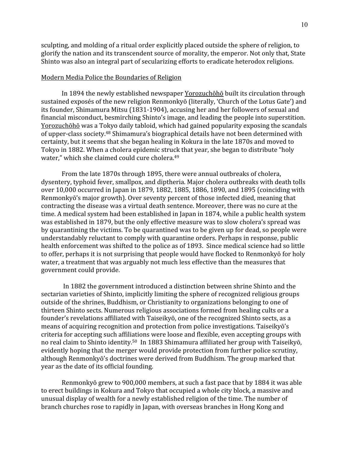sculpting,
and
molding
of
a
ritual
order
explicitly
placed
outside
the
sphere
of
religion,
to glorify
the
nation
and
its
transcendent
source
of
morality,
the
emperor.
Not
only
that,
State Shinto was also an integral part of secularizing efforts to eradicate heterodox religions.

## Modern Media Police the Boundaries of Religion

In
1894
the
newly
established
newspaper
Yorozuchōhō
built
its
circulation
through sustained exposés of the new religion Renmonkyō (literally, 'Church of the Lotus Gate') and its
founder,
Shimamura
Mitsu
(1831‐1904),
accusing
her
and
her
followers
of
sexual
and financial
misconduct,
besmirching
Shinto's
image,
and
leading
the
people
into
superstition. Yorozuchōhō was a Tokyo daily tabloid, which had gained popularity exposing the scandals of upper-class society.<sup>48</sup> Shimamura's biographical details have not been determined with certainty,
but
it
seems
that
she
began
healing
in
Kokura
in
the
late
1870s
and
moved
to Tokyo
in
1882.
When
a
cholera
epidemic
struck
that
year,
she
began
to
distribute
"holy water," which she claimed could cure cholera.<sup>49</sup>

From
the
late
1870s
through
1895,
there
were
annual
outbreaks
of
cholera, dysentery,
typhoid
fever,
smallpox,
and
diptheria. Major
cholera
outbreaks
with
death
tolls over
10,000
occurred
in
Japan
in 1879,
1882,
1885,
1886,
1890,
and
1895 (coinciding
with Renmonkyō's
major
growth).
Over
seventy
percent
of
those
infected
died,
meaning
that contracting
the
disease
was
a
virtual
death
sentence.
Moreover,
there
was
no
cure
at
the time. A medical system had been established in Japan in 1874, while a public health system was established in 1879, but the only effective measure was to slow cholera's spread was by quarantining the victims. To be quarantined was to be given up for dead, so people were understandably
reluctant
to
comply
with
quarantine
orders.
Perhaps
in
response,
public health enforcement was shifted to the police as of 1893. Since medical science had so little to offer, perhaps it is not surprising that people would have flocked to Renmonkyō for holy water, a treatment that was arguably not much less effective than the measures that government
could
provide.

In
1882
the
government
introduced
a
distinction
between
shrine
Shinto
and
the sectarian varieties of Shinto, implicitly limiting the sphere of recognized religious groups outside
of
the
shrines,
Buddhism,
or
Christianity
to
organizations
belonging
to
one
of thirteen Shinto sects. Numerous religious associations formed from healing cults or a founder's revelations affiliated with Taiseikyō, one of the recognized Shinto sects, as a means
of
acquiring
recognition
and
protection
from
police
investigations.
Taiseikyō's criteria
for
accepting
such
affiliations
were
loose
and
flexible,
even
accepting
groups
with no real claim to Shinto identity.<sup>50</sup> In 1883 Shimamura affiliated her group with Taiseikyō, evidently
hoping
that
the
merger
would
provide
protection
from
further
police
scrutiny, although
Renmonkyō's
doctrines
were
derived
from
Buddhism. The
group
marked
that year
as
the
date
of
its
official
founding.

Renmonkyō
grew
to
900,000
members,
at
such
a
fast
pace
that
by
1884
it
was
able to erect buildings in Kokura and Tokyo that occupied a whole city block, a massive and unusual
display
of
wealth
for
a
newly
established
religion
of
the
time.
The
number
of branch
churches
rose
to
rapidly
in
Japan,
with
overseas
branches
in
Hong
Kong
and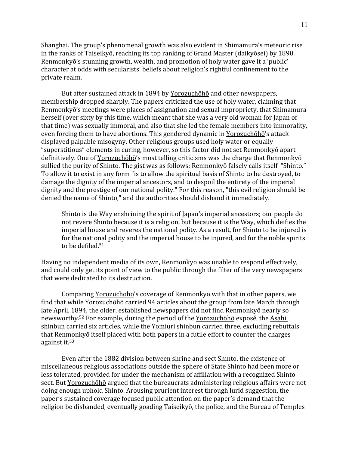Shanghai. The
group's
phenomenal
growth
was
also
evident
in
Shimamura's
meteoric
rise in the ranks of Taiseikyō, reaching its top ranking of Grand Master (daikyōsei) by 1890. Renmonkyō's stunning growth, wealth, and promotion of holy water gave it a 'public' character
at
odds
with
secularists'
beliefs
about
religion's
rightful
confinement
to
the private
realm.

But after sustained attack in 1894 by Yorozuchōhō and other newspapers, membership
dropped
sharply.
The
papers
criticized
the
use
of
holy
water,
claiming that Renmonkyō's
meetings
were
places
of
assignation
and
sexual
impropriety,
that
Shimamura herself (over sixty by this time, which meant that she was a very old woman for Japan of that time) was sexually immoral, and also that she led the female members into immorality, even forcing them to have abortions. This gendered dynamic in Yorozuchōhō's attack displayed
palpable
misogyny. Other
religious
groups
used
holy
water
or
equally "superstitious" elements
in
curing,
however,
so
this
factor
did
not
set
Renmonkyō
apart definitively. One
of
Yorozuchōhō's
most
telling
criticisms
was
the
charge that
Renmonkyō sullied the purity of Shinto. The gist was as follows: Renmonkyō falsely calls itself "Shinto." To allow it to exist in any form "is to allow the spiritual basis of Shinto to be destroyed, to damage the dignity of the imperial ancestors, and to despoil the entirety of the imperial dignity and the prestige of our national polity." For this reason, "this evil religion should be denied
the
name
of
Shinto,"
and
the
authorities
should
disband
it
immediately.

Shinto is the Way enshrining the spirit of Japan's imperial ancestors; our people do not revere Shinto because it is a religion, but because it is the Way, which deifies the imperial house and reveres the national polity. As a result, for Shinto to be injured is for the national polity and the imperial house to be injured, and for the noble spirits to
be defiled. 51

Having
no
independent
media
of
its own,
Renmonkyō
was
unable
to
respond
effectively, and could only get its point of view to the public through the filter of the very newspapers that were dedicated to its destruction.

Comparing Yorozuchōhō's coverage of Renmonkyō with that in other papers, we find that while Yorozuchōhō carried 94 articles about the group from late March through late April, 1894, the older, established newspapers did not find Renmonkyō nearly so newsworthy.<sup>52</sup> For example, during the period of the Yorozuchōhō exposé, the Asahi shinbun
carried
six
articles,
while
the
Yomiuri shinbun
carried
three,
excluding
rebuttals that
Renmonkyō
itself
placed
with
both
papers
in
a
futile
effort
to
counter
the
charges against it. 53

Even
after
the
1882
division
between
shrine
and
sect
Shinto, the
existence
of miscellaneous
religious
associations
outside
the
sphere
of
State
Shinto
had
been
more
or less
tolerated,
provided
for
under
the
mechanism
of
affiliation
with
a
recognized
Shinto sect. But Yorozuchōhō argued that
the
bureaucrats
administering
religious
affairs
were
not doing
enough
uphold
Shinto.
Arousing
prurient
interest
through
lurid
suggestion,
the paper's
sustained
coverage
focused
public
attention
on
the
paper's
demand
that
the religion
be
disbanded,
eventually
goading Taiseikyō,
the
police,
and
the
Bureau
of
Temples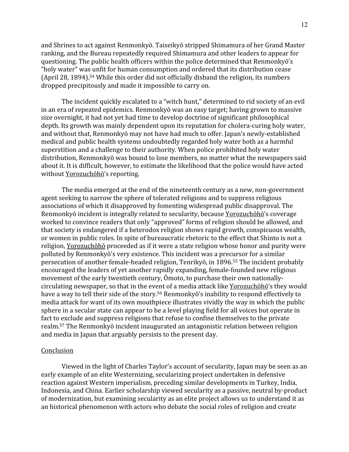and
Shrines
to
act
against
Renmonkyō.
Taiseikyō
stripped
Shimamura
of
her
Grand
Master ranking,
and
the
Bureau
repeatedly
required
Shimamura
and
other
leaders
to
appear
for questioning.
The
public
health
officers
within
the
police
determined that
Renmonkyō's "holy
water"
was
unfit
for
human
consumption
and
ordered
that
its
distribution
cease (April
28, 1894). 54
While
this
order
did
not
officially
disband
the
religion,
its
numbers dropped
precipitously
and
made
it
impossible
to
carry
on.

The incident quickly escalated to a "witch hunt," determined to rid society of an evil in
an
era
of
repeated
epidemics. Renmonkyō
was
an
easy
target;
having
grown
to
massive size overnight, it had not yet had time to develop doctrine of significant philosophical depth.
Its
growth
was
mainly
dependent
upon
its
reputation
for
cholera‐curing
holy
water, and
without
that,
Renmonkyō
may
not
have
had
much
to
offer.
Japan's newly‐established medical
and
public
health
systems
undoubtedly
regarded
holy
water
both
as
a
harmful superstition
and
a
challenge
to
their
authority.
When
police
prohibited
holy
water distribution,
Renmonkyō
was
bound
to
lose
members,
no
matter
what
the
newspapers
said about
it.
It
is
difficult,
however,
to
estimate
the
likelihood
that
the
police
would
have
acted without Yorozuchōhō's
reporting.

The media emerged at the end of the nineteenth century as a new, non-government agent
seeking
to
narrow
the
sphere
of
tolerated
religions
and
to
suppress
religious associations
of
which
it
disapproved
by
fomenting
widespread
public
disapproval.
The Renmonkyō
incident
is
integrally
related
to
secularity,
because Yorozuchōhō's
coverage worked to convince readers that only "approved" forms of religion should be allowed, and that
society
is
endangered
if
a
heterodox
religion
shows
rapid
growth,
conspicuous
wealth, or women in public roles. In spite of bureaucratic rhetoric to the effect that Shinto is not a religion,
Yorozuchōhō
proceeded
as
if
it
were
a
state
religion
whose
honor
and
purity
were polluted
by
Renmonkyō's
very
existence. This
incident
was
a
precursor
for
a
similar persecution of another female-headed religion, Tenrikyō, in 1896.<sup>55</sup> The incident probably encouraged
the
leaders
of yet
another
rapidly
expanding,
female‐founded
new
religious movement of the early twentieth century, Ōmoto, to purchase their own nationallycirculating
newspaper,
so
that
in
the
event
of
a
media
attack
like
Yorozuchōhō's
they
would have a way to tell their side of the story.<sup>56</sup> Renmonkyō's inability to respond effectively to media
attack
for
want
of
its
own
mouthpiece
illustrates
vividly
the
way
in
which
the
public sphere in a secular state can appear to be a level playing field for all voices but operate in fact to exclude and suppress religions that refuse to confine themselves to the private realm.<sup>57</sup> The Renmonkyō incident inaugurated an antagonistic relation between religion and
media
in
Japan
that
arguably
persists
to
the
present
day.

#### Conclusion

Viewed in the light of Charles Taylor's account of secularity, Japan may be seen as an early example of an elite Westernizing, secularizing project undertaken in defensive reaction
against
Western
imperialism,
preceding
similar
developments
in
Turkey,
India, Indonesia, and China. Earlier scholarship viewed secularity as a passive, neutral by-product of
modernization,
but
examining
secularity
as
an
elite
project
allows
us
to
understand
it
as an
historical
phenomenon
with
actors
who
debate
the
social
roles
of
religion
and
create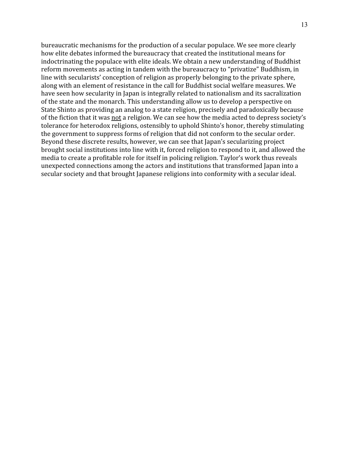bureaucratic
mechanisms
for
the
production
of
a
secular
populace.
We
see
more
clearly how
elite
debates
informed
the
bureaucracy
that
created
the
institutional
means
for indoctrinating
the
populace
with elite
ideals.
We
obtain
a
new
understanding
of
Buddhist reform movements as acting in tandem with the bureaucracy to "privatize" Buddhism, in line with secularists' conception of religion as properly belonging to the private sphere, along
with
an
element
of
resistance
in
the
call
for
Buddhist
social
welfare
measures.
We have seen how secularity in Japan is integrally related to nationalism and its sacralization of
the
state
and
the
monarch. This
understanding
allow
us
to
develop
a
perspective
on State Shinto as providing an analog to a state religion, precisely and paradoxically because of
the
fiction
that
it
was
not
a
religion. We
can
see
how
the
media
acted
to
depress
society's tolerance
for
heterodox
religions,
ostensibly
to
uphold
Shinto's
honor,
thereby
stimulating the
government to
suppress
forms
of
religion
that
did
not
conform
to
the
secular
order. Beyond
these
discrete
results,
however,
we
can
see
that
Japan's
secularizing
project brought social institutions into line with it, forced religion to respond to it, and allowed the media
to
create
a
profitable
role
for
itself
in
policing
religion.
Taylor's
work
thus
reveals unexpected
connections
among
the
actors
and
institutions
that
transformed
Japan
into
a secular society and that brought Japanese religions into conformity with a secular ideal.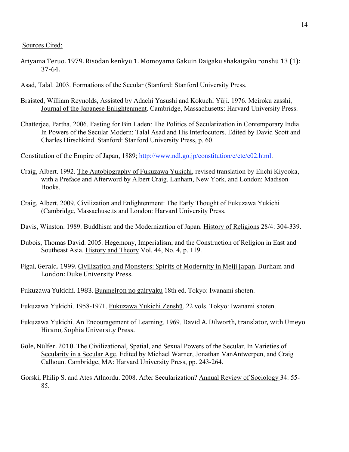### Sources Cited:

- Ariyama Teruo. 1979. Risōdan kenkyū 1. Momoyama Gakuin Daigaku shakaigaku ronshū 13 (1): 37‐64.
- Asad, Talal. 2003. Formations of the Secular (Stanford: Stanford University Press.
- Braisted, William Reynolds, Assisted by Adachi Yasushi and Kokuchi Yūji. 1976. Meiroku zasshi, Journal of the Japanese Enlightenment. Cambridge, Massachusetts: Harvard University Press.
- Chatterjee, Partha. 2006. Fasting for Bin Laden: The Politics of Secularization in Contemporary India. In Powers of the Secular Modern: Talal Asad and His Interlocutors. Edited by David Scott and Charles Hirschkind. Stanford: Stanford University Press, p. 60.

Constitution of the Empire of Japan, 1889; http://www.ndl.go.jp/constitution/e/etc/c02.html.

- Craig, Albert. 1992. The Autobiography of Fukuzawa Yukichi, revised translation by Eiichi Kiyooka, with a Preface and Afterword by Albert Craig. Lanham, New York, and London: Madison Books.
- Craig, Albert. 2009. Civilization and Enlightenment: The Early Thought of Fukuzawa Yukichi (Cambridge, Massachusetts and London: Harvard University Press.
- Davis, Winston. 1989. Buddhism and the Modernization of Japan. History of Religions 28/4: 304-339.
- Dubois, Thomas David. 2005. Hegemony, Imperialism, and the Construction of Religion in East and Southeast Asia. History and Theory Vol. 44, No. 4, p. 119.
- Figal, Gerald. 1999. Civilization and Monsters: Spirits of Modernity in Meiji Japan. Durham and London:
Duke
University
Press.
- Fukuzawa
Yukichi.
1983. Bunmeiron
no
gairyaku 18th ed. Tokyo: Iwanami shoten.
- Fukuzawa Yukichi. 1958-1971. Fukuzawa Yukichi Zenshū. 22 vols. Tokyo: Iwanami shoten.
- Fukuzawa Yukichi. An Encouragement of Learning. 1969. David
A.
Dilworth,
translator, with
Umeyo Hirano,
Sophia
University
Press.
- Göle, Nülfer.
2010. The Civilizational, Spatial, and Sexual Powers of the Secular. In Varieties of Secularity in a Secular Age. Edited by Michael Warner, Jonathan VanAntwerpen, and Craig Calhoun. Cambridge, MA: Harvard University Press, pp. 243-264.
- Gorski, Philip S. and Ates Atlnordu. 2008. After Secularization? Annual Review of Sociology 34: 55- 85.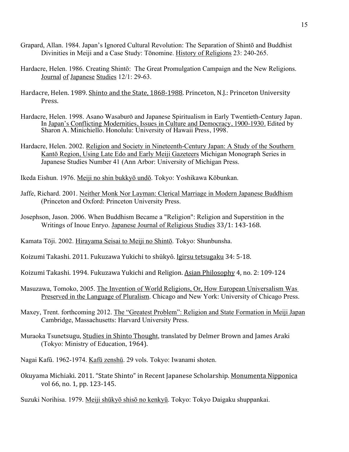- Grapard, Allan. 1984. Japan's Ignored Cultural Revolution: The Separation of Shintō and Buddhist Divinities in Meiji and a Case Study: Tōnomine. History of Religions 23: 240-265.
- Hardacre, Helen. 1986. Creating Shintō: The Great Promulgation Campaign and the New Religions. Journal of Japanese Studies 12/1: 29-63.
- Hardacre, Helen. 1989. Shinto and the State, 1868-1988. Princeton, N.J.: Princeton University Press.
- Hardacre, Helen. 1998. Asano Wasaburō and Japanese Spiritualism in Early Twentieth-Century Japan. In Japan's Conflicting Modernities, Issues in Culture and Democracy, 1900-1930. Edited by Sharon A. Minichiello. Honolulu: University of Hawaii Press, 1998.
- Hardacre, Helen. 2002. Religion and Society in Nineteenth-Century Japan: A Study of the Southern Kantō Region, Using Late Edo and Early Meiji Gazeteers Michigan Monograph Series in Japanese Studies Number 41 (Ann Arbor: University of Michigan Press.

Ikeda Eishun. 1976. Meiji no shin bukkyō undō. Tokyo: Yoshikawa Kōbunkan.

- Jaffe, Richard. 2001. Neither Monk Nor Layman: Clerical Marriage in Modern Japanese Buddhism (Princeton and Oxford: Princeton University Press.
- Josephson, Jason. 2006. When Buddhism Became a "Religion": Religion and Superstition in the Writings of Inoue Enryo. Japanese Journal of Religious Studies 33/1:
143‐168.

Kamata Tōji. 2002. Hirayama Seisai to Meiji no Shintō. Tokyo: Shunbunsha.

Koizumi
Takashi.
2011.
Fukuzawa
Yukichi
to
shūkyō.
Igirsu
tetsugaku
34:
5‐18.

Koizumi Takashi. 1994. Fukuzawa Yukichi and Religion. Asian Philosophy 4, no. 2: 109-124

Masuzawa, Tomoko, 2005. The Invention of World Religions, Or, How European Universalism Was Preserved in the Language of Pluralism. Chicago and New York: University of Chicago Press.

Maxey, Trent. forthcoming 2012. The "Greatest Problem": Religion and State Formation in Meiji Japan Cambridge, Massachusetts: Harvard University Press.

- Muraoka Tsunetsugu, Studies in Shinto Thought, translated by Delmer Brown and James Araki (Tokyo: Ministry of Education, 1964).
- Nagai Kafû. 1962-1974. Kafū zenshū. 29 vols. Tokyo: Iwanami shoten.
- Okuyama Michiaki. 2011. "State Shinto" in Recent Japanese Scholarship. Monumenta Nipponica vol 66, no. 1, pp. 123-145.

Suzuki Norihisa. 1979. Meiji shūkyō shisō no kenkyū. Tokyo: Tokyo Daigaku shuppankai.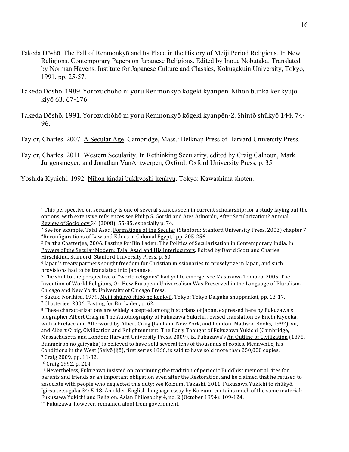- Takeda Dōshō. The Fall of Renmonkyō and Its Place in the History of Meiji Period Religions. In New Religions. Contemporary Papers on Japanese Religions. Edited by Inoue Nobutaka. Translated by Norman Havens. Institute for Japanese Culture and Classics, Kokugakuin University, Tokyo, 1991, pp. 25-57.
- Takeda Dōshō. 1989. Yorozuchōhō ni yoru Renmonkyō kōgeki kyanpēn. Nihon bunka kenkyūjo kiyō
63:
67‐176.
- Takeda Dōshō. 1991. Yorozuchōhō ni yoru Renmonkyō kōgeki kyanpēn-2. Shintō shūkyō 144: 74-96.

Taylor, Charles. 2007. A Secular Age. Cambridge, Mass.: Belknap Press of Harvard University Press.

Yoshida Kyūichi. 1992. Nihon kindai bukkyōshi kenkyū. Tokyo: Kawashima shoten.

 $\overline{a}$ 

Taylor, Charles. 2011. Western Secularity. In Rethinking Secularity, edited by Craig Calhoun, Mark Jurgensmeyer, and Jonathan VanAntwerpen, Oxford: Oxford University Press, p. 35.

<sup>&</sup>lt;sup>1</sup> This perspective on secularity is one of several stances seen in current scholarship; for a study laying out the options, with extensive references see Philip S. Gorski and Ates Atlnordu, After Secularization? Annual Review of Sociology 34 (2008): 55-85, especially p. 74.

<sup>&</sup>lt;sup>2</sup> See for example, Talal Asad, Formations of the Secular (Stanford: Stanford University Press, 2003) chapter 7: "Reconfigurations
of
Law
and
Ethics
in
Colonial
Egypt,"
pp.
205‐256.

<sup>&</sup>lt;sup>3</sup> Partha Chatterjee, 2006. Fasting for Bin Laden: The Politics of Secularization in Contemporary India. In Powers of the Secular Modern: Talal Asad and His Interlocutors. Edited by David Scott and Charles Hirschkind.
Stanford:
Stanford
University
Press,
p.
60.

<sup>4</sup>Japan's
treaty
partners
sought
freedom
for
Christian
missionaries
to
proselytize
in
Japan,
and
such provisions
had
to
be
translated
into
Japanese.

<sup>&</sup>lt;sup>5</sup> The shift to the perspective of "world religions" had yet to emerge; see Masuzawa Tomoko, 2005. The Invention
of
World
Religions,
Or,
How
European
Universalism
Was
Preserved
in
the
Language
of
Pluralism. Chicago
and
New
York:
University
of
Chicago
Press.

<sup>&</sup>lt;sup>6</sup> Suzuki Norihisa. 1979. Meiji shūkyō shisō no kenkyū. Tokyo: Tokyo Daigaku shuppankai, pp. 13-17. 7
Chatterjee,
2006.
Fasting
for
Bin
Laden,
p.
62.

<sup>&</sup>lt;sup>8</sup> These characterizations are widely accepted among historians of Japan, expressed here by Fukuzawa's biographer Albert Craig in The Autobiography of Fukuzawa Yukichi, revised translation by Eiichi Kiyooka, with a Preface and Afterword by Albert Craig (Lanham, New York, and London: Madison Books, 1992), vii, and
Albert
Craig,
Civilization
and
Enlightenment:
The
Early
Thought
of
Fukuzawa
Yukichi
(Cambridge, Massachusetts and London: Harvard University Press, 2009), ix. Fukuzawa's An Outline of Civilization (1875, Bunmeiron no gairyaku) is believed to have sold several tens of thousands of copies. Meanwhile, his Conditions in the West (Seiyō jijō), first series 1866, is said to have sold more than 250,000 copies. 9
Craig
2009,
pp.
11‐32.

<sup>10</sup>Craig
1992,
p.
214.

<sup>&</sup>lt;sup>11</sup> Nevertheless, Fukuzawa insisted on continuing the tradition of periodic Buddhist memorial rites for parents
and
friends
as
an
important
obligation
even
after
the
Restoration,
and
he
claimed
that
he
refused
to associate
with
people
who
neglected
this
duty;
see
Koizumi
Takashi.
2011.
Fukuzawa
Yukichi
to
shūkyō. Igirsu tetsugaku 34: 5-18. An older, English-language essay by Koizumi contains much of the same material: Fukuzawa
Yukichi
and
Religion.
Asian
Philosophy
4,
no.
2
(October
1994):
109‐124.

<sup>12</sup>Fukuzawa,
however,
remained
aloof
from
government.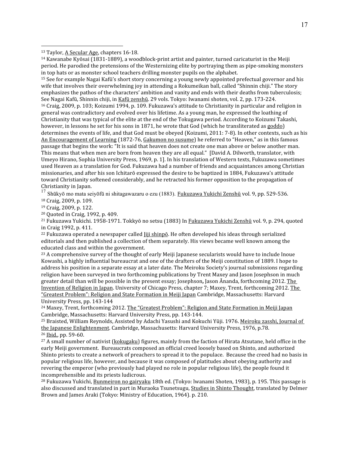$\overline{a}$ 

<sup>15</sup> See for example Nagai Kafū's short story concerning a young newly appointed prefectual governor and his wife that involves their overwhelming joy in attending a Rokumeikan ball, called "Shinnin chiji." The story emphasizes the pathos of the characters' ambition and vanity and ends with their deaths from tuberculosis; See Nagai Kafū, Shinnin chiji, in Kafū zenshū. 29 vols. Tokyo: Iwanami shoten, vol. 2, pp. 173-224. <sup>16</sup> Craig, 2009, p. 103; Koizumi 1994, p. 109. Fukuzawa's attitude to Christianity in particular and religion in general
was
contradictory
and
evolved
over
his
lifetime.
As
a
young
man,
he
expressed
the
loathing
of Christianity that was typical of the elite at the end of the Tokugawa period. According to Koizumi Takashi, however, in lessons he set for his sons in 1871, he wrote that God (which he transliterated as goddo) determines the events of life, and that God must be obeyed (Koizumi, 2011: 7-8). In other contexts, such as his An Encouragement of Learning (1872-76, Gakumon no susume) he referred to "Heaven," as in this famous passage that begins the work: "It is said that heaven does not create one man above or below another man. This means that when men are born from heaven they are all equal." [David A. Dilworth, translator, with Umeyo Hirano, Sophia University Press, 1969, p. 1]. In his translation of Western texts, Fukuzawa sometimes used Heaven as a translation for God. Fukuzawa had a number of friends and acquaintances among Christian missionaries,
and
after
his
son
Ichitarō
expressed
the
desire
to
be
baptized
in
1884,
Fukuzawa's
attitude toward Christianity softened considerably, and he retracted his former opposition to the propagation of Christianity
in
Japan.

<sup>17</sup> Shūkvō mo mata seivōfū ni shitagawazaru o ezu (1883). Fukuzawa Yukichi Zenshū vol. 9, pp. 529-536.

18
Craig,
2009,
p.
109.

19
Craig,
2009,
p.
122.

20
Quoted
in
Craig,
1992,
p.
409.

<sup>21</sup> Fukuzawa Yukichi. 1958-1971. Tokkyō no setsu (1883) In Fukuzawa Yukichi Zenshū vol. 9, p. 294, quoted in
Craig
1992,
p.
411.

<sup>22</sup> Fukuzawa operated a newspaper called <u>Jiji shinpō</u>. He often developed his ideas through serialized editorials and then published a collection of them separately. His views became well known among the educated
class
and
within
the
government.

<sup>23</sup> A comprehensive survey of the thought of early Meiji Japanese secularists would have to include Inoue Kowashi, a highly influential bureaucrat and one of the drafters of the Meiji constitution of 1889. I hope to address
his
position
in
a
separate
essay
at
a
later
date.
The
Meiroku
Society's
journal
submissions
regarding religion have been surveyed in two forthcoming publications by Trent Maxey and Jason Josephson in much greater
detail
than
will
be
possible
in
the
present
essay;
Josephson**,**Jason
Ānanda,
forthcoming
2012.
The Invention of Religion in Japan. University of Chicago Press, chapter 7; Maxey, Trent, forthcoming 2012. The "Greatest
Problem":
Religion
and
State
Formation
in
Meiji
Japan
Cambridge,
Massachusetts:
Harvard University
Press,
pp.
143‐144

<sup>24</sup> Maxey, Trent, forthcoming 2012. The "Greatest Problem": Religion and State Formation in Meiji Japan Cambridge,
Massachusetts:
Harvard
University
Press,
pp.
143‐144.

<sup>25</sup> Braisted, William Reynolds, Assisted by Adachi Yasushi and Kokuchi Yūji. 1976. Meiroku zasshi, Journal of the Japanese Enlightenment. Cambridge, Massachusetts: Harvard University Press, 1976, p.78. <sup>26</sup> Ibid.,
pp.
59‐60.

<sup>27</sup> A small number of nativist (kokugaku) figures, mainly from the faction of Hirata Atsutane, held office in the early Meiji government. Bureaucrats composed an official creed loosely based on Shinto, and authorized Shinto priests to create a network of preachers to spread it to the populace. Because the creed had no basis in popular
religious
life,
however,
and
because
it
was
composed
of
platitudes
about
obeying
authority
and revering the emperor (who previously had played no role in popular religious life), the people found it incomprehensible
and
its
priests
ludicrous.

<sup>28</sup> Fukuzawa Yukichi, Bunmeiron no gairyaku 18th ed. (Tokyo: lwanami Shoten, 1983), p. 195. This passage is also discussed and translated in part in Muraoka Tsunetsugu, Studies in Shinto Thought, translated by Delmer Brown
and
James
Araki
(Tokyo:
Ministry
of
Education,
1964).
p.
210.

<sup>13</sup>Taylor,
A
Secular
Age,
chapters
16‐18.

<sup>&</sup>lt;sup>14</sup> Kawanabe Kyōsai (1831-1889), a woodblock-print artist and painter, turned caricaturist in the Meiji period. He parodied the pretensions of the Westernizing elite by portraying them as pipe-smoking monsters in
top
hats
or
as
monster
school
teachers
drilling
monster
pupils
on
the
alphabet.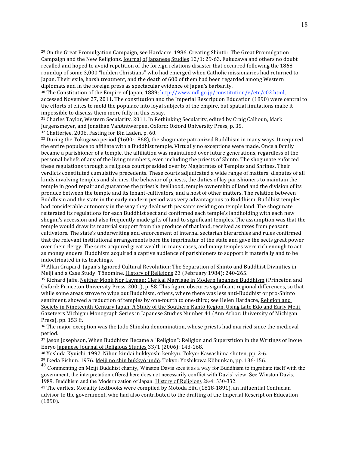<sup>31</sup> Charles Taylor, Western Secularity. 2011. In Rethinking Secularity, edited by Craig Calhoun, Mark Jurgensmeyer, and Jonathan VanAntwerpen, Oxford: Oxford University Press, p. 35.

32
Chatterjee,
2006.
Fasting
for
Bin
Laden,
p.
60.

 $\overline{a}$ 

<sup>33</sup> During the Tokugawa period (1600-1868), the shogunate patronized Buddhism in many ways. It required the
entire
populace
to
affiliate
with
a
Buddhist
temple.
Virtually
no
exceptions
were
made.
Once
a
family became a parishioner of a temple, the affiliation was maintained over future generations, regardless of the personal
beliefs
of
any
of
the
living
members,
even
including
the
priests
of
Shinto.
The
shogunate
enforced these
regulations
through
a
religious
court
presided
over
by
Magistrates
of
Temples
and
Shrines.
Their verdicts constituted cumulative precedents. These courts adjudicated a wide range of matters: disputes of all kinds involving temples and shrines, the behavior of priests, the duties of lay parishioners to maintain the temple in good repair and guarantee the priest's livelihood, temple ownership of land and the division of its produce
between
the
temple
and
its
tenant‐cultivators,
and
a
host
of
other
matters.
The
relation
between Buddhism and the state in the early modern period was very advantageous to Buddhism. Buddhist temples had considerable autonomy in the way they dealt with peasants residing on temple land. The shogunate reiterated its regulations for each Buddhist sect and confirmed each temple's landholding with each new shogun's accession and also frequently made gifts of land to significant temples. The assumption was that the temple would draw its material support from the produce of that land, received as taxes from peasant cultivators.
The
state's
underwriting
and
enforcement
of
internal
sectarian
hierarchies
and
rules
confirmed that
the
relevant
institutional
arrangements
bore
the
imprimatur
of
the
state
and
gave
the
sects
great
power over their clergy. The sects acquired great wealth in many cases, and many temples were rich enough to act as moneylenders. Buddhism acquired a captive audience of parishioners to support it materially and to be indoctrinated in its teachings.

<sup>34</sup> Allan Grapard, Japan's Ignored Cultural Revolution: The Separation of Shintō and Buddhist Divinities in Meiji and a Case Study: Tōnomine. History of Religions 23 (February 1984): 240-265.

<sup>35</sup> Richard Jaffe, Neither Monk Nor Layman: Clerical Marriage in Modern Japanese Buddhism (Princeton and Oxford: Princeton University Press, 2001), p. 58. This figure obscures significant regional differences, so that while some areas strove to wipe out Buddhism, others, where there was less anti-Buddhist or pro-Shinto sentiment, showed a reduction of temples by one-fourth to one-third; see Helen Hardacre, Religion and Society in Nineteenth-Century Japan: A Study of the Southern Kantō Region, Using Late Edo and Early Meiji Gazeteers Michigan Monograph Series in Japanese Studies Number 41 (Ann Arbor: University of Michigan Press),
pp.
153
ff.

<sup>36</sup> The major exception was the Jōdo Shinshū denomination, whose priests had married since the medieval period.

<sup>37</sup> Jason Josephson, When Buddhism Became a "Religion": Religion and Superstition in the Writings of Inoue Enryo Japanese
Journal
of
Religious
Studies 33/1
(2006):
143‐168.

<sup>38</sup> Yoshida Kyūichi. 1992. Nihon kindai bukkyōshi kenkyū. Tokyo: Kawashima shoten, pp. 2-6.

<sup>39</sup> Ikeda Eishun. 1976. Meiji no shin bukkyō undō. Tokyo: Yoshikawa Kōbunkan, pp. 136-156.

<sup>40</sup> Commenting on Meiji Buddhist charity, Winston Davis sees it as a way for Buddhism to ingratiate itself with the government; the interpretation offered here does not necessarily conflict with Davis' view. See Winston Davis. 1989. Buddhism and the Modernization of Japan. History of Religions 28/4: 330-332.

<sup>41</sup> The earliest Morality textbooks were compiled by Motoda Eifu (1818-1891), an influential Confucian advisor to the government, who had also contributed to the drafting of the Imperial Rescript on Education (1890).

<sup>&</sup>lt;sup>29</sup> On the Great Promulgation Campaign, see Hardacre. 1986. Creating Shintō: The Great Promulgation Campaign and the New Religions. <u>Journal of Japanese Studies</u> 12/1: 29-63. Fukuzawa and others no doubt recalled and hoped to avoid repetition of the foreign relations disaster that occurred following the 1868 roundup of some 3,000 "hidden Christians" who had emerged when Catholic missionaries had returned to Japan. Their exile, harsh treatment, and the death of 600 of them had been regarded among Western diplomats
and
in
the
foreign
press
as
spectacular
evidence
of
Japan's
barbarity.

<sup>&</sup>lt;sup>30</sup> The Constitution of the Empire of Japan, 1889; http://www.ndl.go.jp/constitution/e/etc/c02.html, accessed
November
27,
2011.
The
constitution
and
the
Imperial
Rescript
on
Education
(1890)
were
central
to the efforts of elites to mold the populace into loyal subjects of the empire, but spatial limitations make it impossible
to
discuss
them
more
fully
in
this
essay.